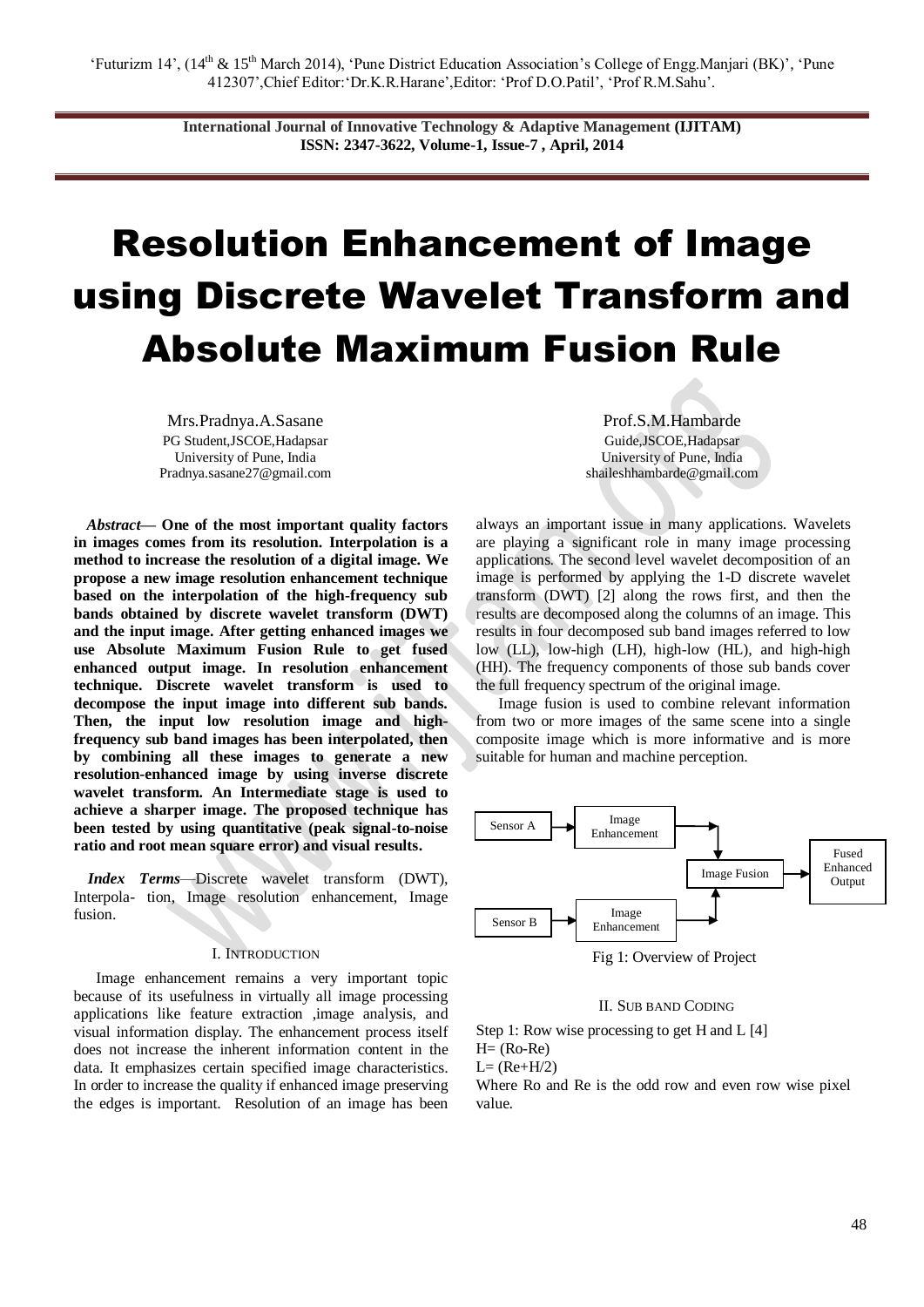**International Journal of Innovative Technology & Adaptive Management (IJITAM) ISSN: 2347-3622, Volume-1, Issue-7 , April, 2014**

# Resolution Enhancement of Image using Discrete Wavelet Transform and Absolute Maximum Fusion Rule

Mrs.Pradnya.A.Sasane PG Student,JSCOE,Hadapsar University of Pune, India Pradnya.sasane27@gmail.com

*Abstract***— One of the most important quality factors in images comes from its resolution. Interpolation is a method to increase the resolution of a digital image. We propose a new image resolution enhancement technique based on the interpolation of the high-frequency sub bands obtained by discrete wavelet transform (DWT) and the input image. After getting enhanced images we use Absolute Maximum Fusion Rule to get fused enhanced output image. In resolution enhancement technique. Discrete wavelet transform is used to decompose the input image into different sub bands. Then, the input low resolution image and highfrequency sub band images has been interpolated, then by combining all these images to generate a new resolution-enhanced image by using inverse discrete wavelet transform. An Intermediate stage is used to achieve a sharper image. The proposed technique has been tested by using quantitative (peak signal-to-noise ratio and root mean square error) and visual results.**

*Index Terms*—Discrete wavelet transform (DWT), Interpola- tion, Image resolution enhancement, Image fusion.

#### I. INTRODUCTION

Image enhancement remains a very important topic because of its usefulness in virtually all image processing applications like feature extraction ,image analysis, and visual information display. The enhancement process itself does not increase the inherent information content in the data. It emphasizes certain specified image characteristics. In order to increase the quality if enhanced image preserving the edges is important. Resolution of an image has been

Prof.S.M.Hambarde Guide,JSCOE,Hadapsar University of Pune, India shaileshhambarde@gmail.com

always an important issue in many applications. Wavelets are playing a significant role in many image processing applications. The second level wavelet decomposition of an image is performed by applying the 1-D discrete wavelet transform (DWT) [2] along the rows first, and then the results are decomposed along the columns of an image. This results in four decomposed sub band images referred to low low (LL), low-high (LH), high-low (HL), and high-high (HH). The frequency components of those sub bands cover the full frequency spectrum of the original image.

Image fusion is used to combine relevant information from two or more images of the same scene into a single composite image which is more informative and is more suitable for human and machine perception.



Fig 1: Overview of Project

### II. SUB BAND CODING

Step 1: Row wise processing to get H and L [4]  $H=$  (Ro-Re)  $L=$  (Re+H/2) Where Ro and Re is the odd row and even row wise pixel value.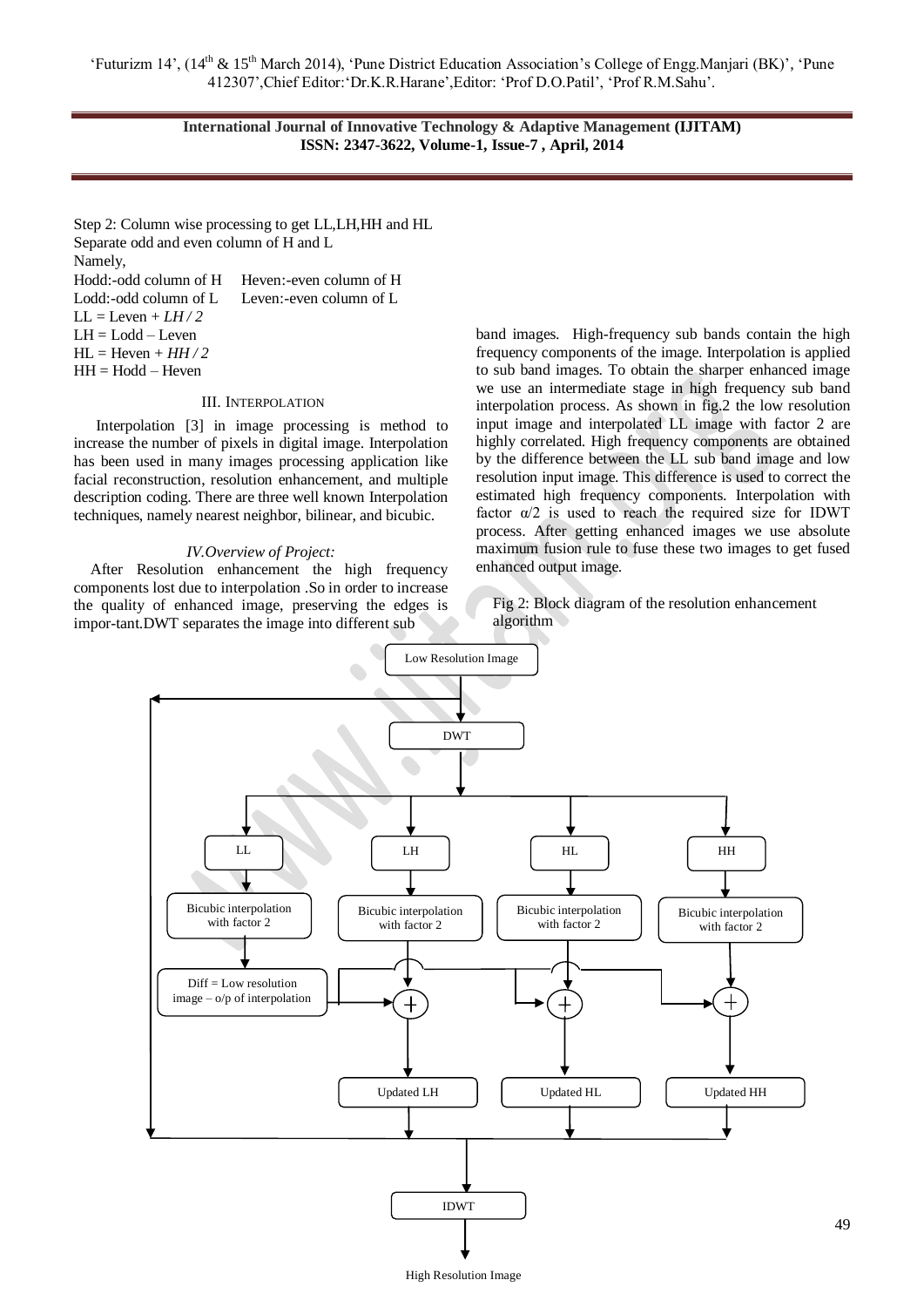‗Futurizm 14', (14th & 15th March 2014), ‗Pune District Education Association's College of Engg.Manjari (BK)', ‗Pune 412307',Chief Editor:‗Dr.K.R.Harane',Editor: ‗Prof D.O.Patil', ‗Prof R.M.Sahu'.

> **International Journal of Innovative Technology & Adaptive Management (IJITAM) ISSN: 2347-3622, Volume-1, Issue-7 , April, 2014**

Step 2: Column wise processing to get LL,LH,HH and HL Separate odd and even column of H and L Namely, Hodd:-odd column of H Heven:-even column of H Lodd:-odd column of L Leven:-even column of L  $LL = Leven + LH/2$ LH = Lodd – Leven  $HL =$  Heven +  $HH/2$  $HH = Hodd - Heven$ 

## III. INTERPOLATION

Interpolation [3] in image processing is method to increase the number of pixels in digital image. Interpolation has been used in many images processing application like facial reconstruction, resolution enhancement, and multiple description coding. There are three well known Interpolation techniques, namely nearest neighbor, bilinear, and bicubic.

#### *IV.Overview of Project:*

After Resolution enhancement the high frequency components lost due to interpolation .So in order to increase the quality of enhanced image, preserving the edges is impor-tant.DWT separates the image into different sub

band images. High-frequency sub bands contain the high frequency components of the image. Interpolation is applied to sub band images. To obtain the sharper enhanced image we use an intermediate stage in high frequency sub band interpolation process. As shown in fig.2 the low resolution input image and interpolated LL image with factor 2 are highly correlated. High frequency components are obtained by the difference between the LL sub band image and low resolution input image. This difference is used to correct the estimated high frequency components. Interpolation with factor  $\alpha/2$  is used to reach the required size for IDWT process. After getting enhanced images we use absolute maximum fusion rule to fuse these two images to get fused enhanced output image.

Fig 2: Block diagram of the resolution enhancement algorithm

49

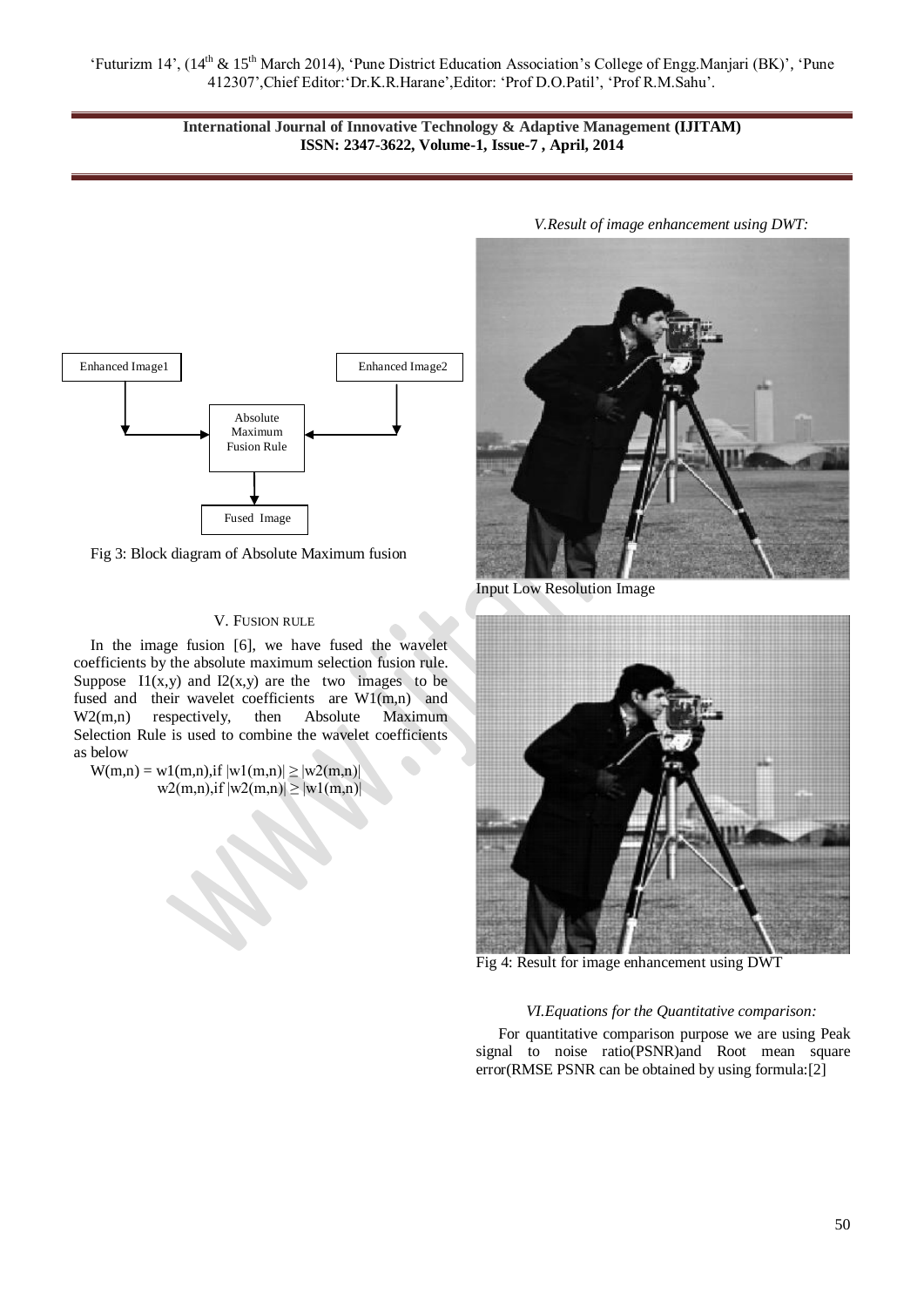‗Futurizm 14', (14th & 15th March 2014), ‗Pune District Education Association's College of Engg.Manjari (BK)', ‗Pune 412307',Chief Editor:‗Dr.K.R.Harane',Editor: ‗Prof D.O.Patil', ‗Prof R.M.Sahu'.

# **International Journal of Innovative Technology & Adaptive Management (IJITAM) ISSN: 2347-3622, Volume-1, Issue-7 , April, 2014**



Fig 3: Block diagram of Absolute Maximum fusion

## V. FUSION RULE

In the image fusion [6], we have fused the wavelet coefficients by the absolute maximum selection fusion rule. Suppose  $I1(x,y)$  and  $I2(x,y)$  are the two images to be fused and their wavelet coefficients are W1(m,n) and W2(m,n) respectively, then Absolute Maximum Selection Rule is used to combine the wavelet coefficients as below

 $W(m,n) = w1(m,n),$ if  $|w1(m,n)| \ge |w2(m,n)|$  $w2(m,n)$ ,if  $|w2(m,n)| \ge |w1(m,n)|$ 



Input Low Resolution Image



Fig 4: Result for image enhancement using DWT

## *VI.Equations for the Quantitative comparison:*

For quantitative comparison purpose we are using Peak signal to noise ratio(PSNR)and Root mean square error(RMSE PSNR can be obtained by using formula:[2]

*V.Result of image enhancement using DWT:*